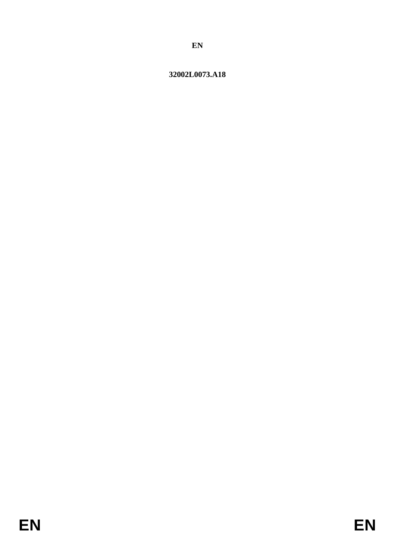# 32002L0073.A18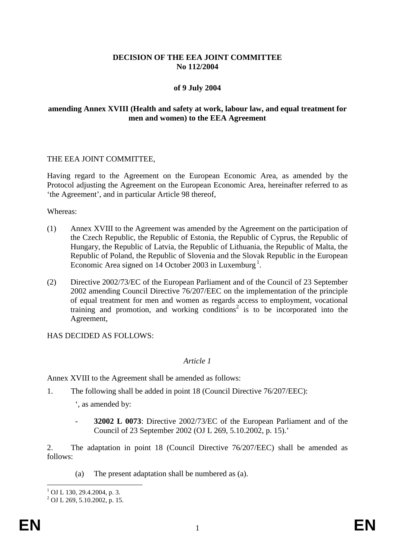# **DECISION OF THE EEA JOINT COMMITTEE No 112/2004**

## **of 9 July 2004**

## **amending Annex XVIII (Health and safety at work, labour law, and equal treatment for men and women) to the EEA Agreement**

#### THE EEA JOINT COMMITTEE,

Having regard to the Agreement on the European Economic Area, as amended by the Protocol adjusting the Agreement on the European Economic Area, hereinafter referred to as 'the Agreement', and in particular Article 98 thereof,

Whereas:

- (1) Annex XVIII to the Agreement was amended by the Agreement on the participation of the Czech Republic, the Republic of Estonia, the Republic of Cyprus, the Republic of Hungary, the Republic of Latvia, the Republic of Lithuania, the Republic of Malta, the Republic of Poland, the Republic of Slovenia and the Slovak Republic in the European Economic Area signed on  $14$  $14$  October 2003 in Luxemburg<sup>1</sup>.
- (2) Directive 2002/73/EC of the European Parliament and of the Council of 23 September 2002 amending Council Directive 76/207/EEC on the implementation of the principle of equal treatment for men and women as regards access to employment, vocational training and promotion, and working conditions<sup>2</sup> is to be incorporated into the Agreement,

HAS DECIDED AS FOLLOWS:

## *Article 1*

Annex XVIII to the Agreement shall be amended as follows:

1. The following shall be added in point 18 (Council Directive 76/207/EEC):

', as amended by:

- **32002 L 0073**: Directive 2002/73/EC of the European Parliament and of the Council of 23 September 2002 (OJ L 269, 5.10.2002, p. 15).'

2. The adaptation in point 18 (Council Directive 76/207/EEC) shall be amended as follows:

(a) The present adaptation shall be numbered as (a).

 $1$  OJ L 130, 29.4.2004, p. 3.

<span id="page-1-0"></span> $^{2}$  OJ L 269, 5.10.2002, p. 15.